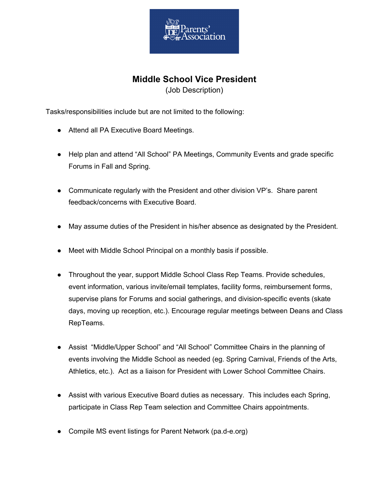

## **Middle School Vice President**

(Job Description)

Tasks/responsibilities include but are not limited to the following:

- Attend all PA Executive Board Meetings.
- Help plan and attend "All School" PA Meetings, Community Events and grade specific Forums in Fall and Spring.
- Communicate regularly with the President and other division VP's. Share parent feedback/concerns with Executive Board.
- May assume duties of the President in his/her absence as designated by the President.
- Meet with Middle School Principal on a monthly basis if possible.
- Throughout the year, support Middle School Class Rep Teams. Provide schedules, event information, various invite/email templates, facility forms, reimbursement forms, supervise plans for Forums and social gatherings, and division-specific events (skate days, moving up reception, etc.). Encourage regular meetings between Deans and Class RepTeams.
- Assist "Middle/Upper School" and "All School" Committee Chairs in the planning of events involving the Middle School as needed (eg. Spring Carnival, Friends of the Arts, Athletics, etc.). Act as a liaison for President with Lower School Committee Chairs.
- Assist with various Executive Board duties as necessary. This includes each Spring, participate in Class Rep Team selection and Committee Chairs appointments.
- Compile MS event listings for Parent Network (pa.d-e.org)